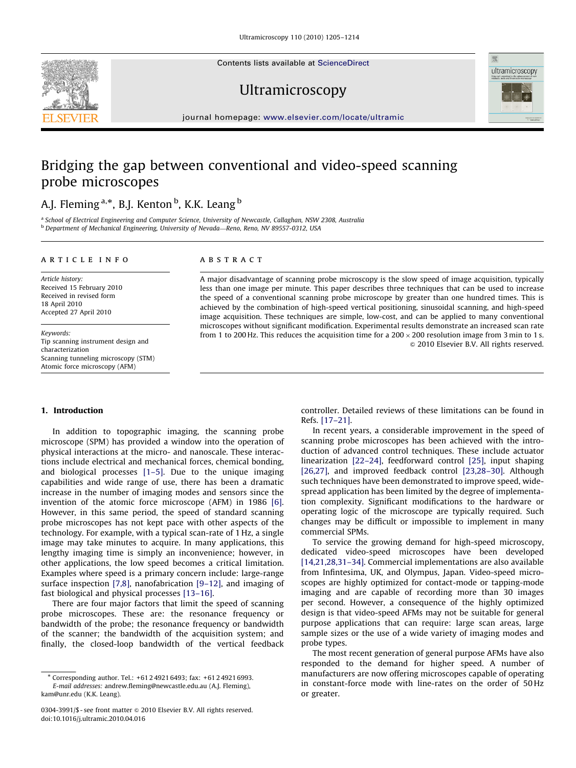Contents lists available at ScienceDirect





journal homepage: <www.elsevier.com/locate/ultramic>

# Bridging the gap between conventional and video-speed scanning probe microscopes

## A.J. Fleming <sup>a,\*</sup>, B.J. Kenton <sup>b</sup>, K.K. Leang <sup>b</sup>

<sup>a</sup> School of Electrical Engineering and Computer Science, University of Newcastle, Callaghan, NSW 2308, Australia b Department of Mechanical Engineering, University of Nevada—Reno, Reno, NV 89557-0312, USA

#### article info

Article history: Received 15 February 2010 Received in revised form 18 April 2010 Accepted 27 April 2010

Keywords: Tip scanning instrument design and characterization Scanning tunneling microscopy (STM) Atomic force microscopy (AFM)

#### 1. Introduction

In addition to topographic imaging, the scanning probe microscope (SPM) has provided a window into the operation of physical interactions at the micro- and nanoscale. These interactions include electrical and mechanical forces, chemical bonding, and biological processes [\[1–5\].](#page-8-0) Due to the unique imaging capabilities and wide range of use, there has been a dramatic increase in the number of imaging modes and sensors since the invention of the atomic force microscope (AFM) in 1986 [\[6\].](#page-8-0) However, in this same period, the speed of standard scanning probe microscopes has not kept pace with other aspects of the technology. For example, with a typical scan-rate of 1 Hz, a single image may take minutes to acquire. In many applications, this lengthy imaging time is simply an inconvenience; however, in other applications, the low speed becomes a critical limitation. Examples where speed is a primary concern include: large-range surface inspection [\[7,8\]](#page-8-0), nanofabrication [\[9–12\],](#page-8-0) and imaging of fast biological and physical processes [\[13–16\].](#page-8-0)

There are four major factors that limit the speed of scanning probe microscopes. These are: the resonance frequency or bandwidth of the probe; the resonance frequency or bandwidth of the scanner; the bandwidth of the acquisition system; and finally, the closed-loop bandwidth of the vertical feedback

## **ABSTRACT**

A major disadvantage of scanning probe microscopy is the slow speed of image acquisition, typically less than one image per minute. This paper describes three techniques that can be used to increase the speed of a conventional scanning probe microscope by greater than one hundred times. This is achieved by the combination of high-speed vertical positioning, sinusoidal scanning, and high-speed image acquisition. These techniques are simple, low-cost, and can be applied to many conventional microscopes without significant modification. Experimental results demonstrate an increased scan rate from 1 to 200 Hz. This reduces the acquisition time for a 200  $\times$  200 resolution image from 3 min to 1 s.  $\odot$  2010 Elsevier B.V. All rights reserved.

> controller. Detailed reviews of these limitations can be found in Refs. [\[17–21\]](#page-8-0).

> In recent years, a considerable improvement in the speed of scanning probe microscopes has been achieved with the introduction of advanced control techniques. These include actuator linearization [\[22–24\],](#page-8-0) feedforward control [\[25\],](#page-8-0) input shaping [\[26,27\],](#page-8-0) and improved feedback control [23,28-30]. Although such techniques have been demonstrated to improve speed, widespread application has been limited by the degree of implementation complexity. Significant modifications to the hardware or operating logic of the microscope are typically required. Such changes may be difficult or impossible to implement in many commercial SPMs.

> To service the growing demand for high-speed microscopy, dedicated video-speed microscopes have been developed [\[14,21,28,31–34\]](#page-8-0). Commercial implementations are also available from Infintesima, UK, and Olympus, Japan. Video-speed microscopes are highly optimized for contact-mode or tapping-mode imaging and are capable of recording more than 30 images per second. However, a consequence of the highly optimized design is that video-speed AFMs may not be suitable for general purpose applications that can require: large scan areas, large sample sizes or the use of a wide variety of imaging modes and probe types.

> The most recent generation of general purpose AFMs have also responded to the demand for higher speed. A number of manufacturers are now offering microscopes capable of operating in constant-force mode with line-rates on the order of 50 Hz or greater.

<sup>-</sup> Corresponding author. Tel.: +61 2 4921 6493; fax: +61 2 4921 6993. E-mail addresses: [andrew.fleming@newcastle.edu.au \(A.J. Fleming\),](mailto:Andrew.Fleming@newcastle.edu.au) [kam@unr.edu \(K.K. Leang\)](mailto:Andrew.Fleming@newcastle.edu.au).

<sup>0304-3991/\$ -</sup> see front matter @ 2010 Elsevier B.V. All rights reserved. doi:[10.1016/j.ultramic.2010.04.016](dx.doi.org/10.1016/j.ultramic.2010.04.016)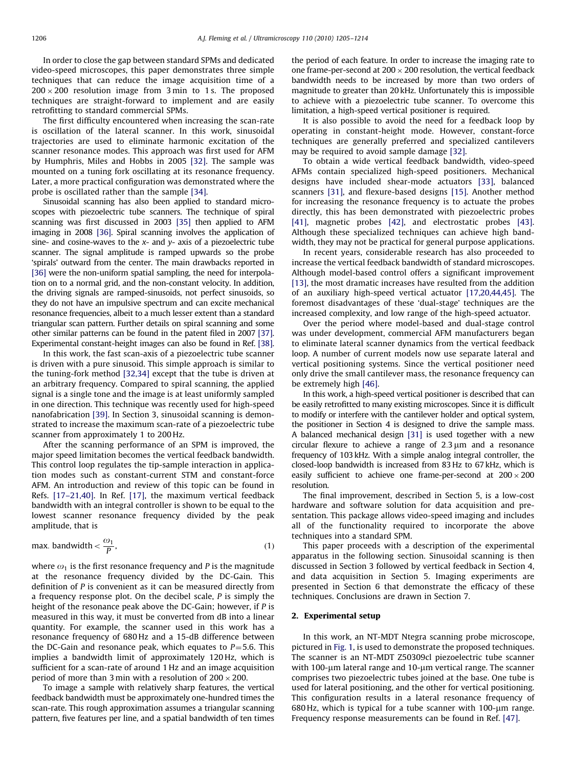In order to close the gap between standard SPMs and dedicated video-speed microscopes, this paper demonstrates three simple techniques that can reduce the image acquisition time of a 200  $\times$  200 resolution image from 3 min to 1s. The proposed techniques are straight-forward to implement and are easily retrofitting to standard commercial SPMs.

The first difficulty encountered when increasing the scan-rate is oscillation of the lateral scanner. In this work, sinusoidal trajectories are used to eliminate harmonic excitation of the scanner resonance modes. This approach was first used for AFM by Humphris, Miles and Hobbs in 2005 [\[32\].](#page-8-0) The sample was mounted on a tuning fork oscillating at its resonance frequency. Later, a more practical configuration was demonstrated where the probe is oscillated rather than the sample [\[34\]](#page-8-0).

Sinusoidal scanning has also been applied to standard microscopes with piezoelectric tube scanners. The technique of spiral scanning was first discussed in 2003 [\[35\]](#page-8-0) then applied to AFM imaging in 2008 [\[36\].](#page-8-0) Spiral scanning involves the application of sine- and cosine-waves to the  $x$ - and  $y$ - axis of a piezoelectric tube scanner. The signal amplitude is ramped upwards so the probe 'spirals' outward from the center. The main drawbacks reported in [\[36\]](#page-8-0) were the non-uniform spatial sampling, the need for interpolation on to a normal grid, and the non-constant velocity. In addition, the driving signals are ramped-sinusoids, not perfect sinusoids, so they do not have an impulsive spectrum and can excite mechanical resonance frequencies, albeit to a much lesser extent than a standard triangular scan pattern. Further details on spiral scanning and some other similar patterns can be found in the patent filed in 2007 [\[37\].](#page-8-0) Experimental constant-height images can also be found in Ref. [\[38\].](#page-8-0)

In this work, the fast scan-axis of a piezoelectric tube scanner is driven with a pure sinusoid. This simple approach is similar to the tuning-fork method [\[32,34\]](#page-8-0) except that the tube is driven at an arbitrary frequency. Compared to spiral scanning, the applied signal is a single tone and the image is at least uniformly sampled in one direction. This technique was recently used for high-speed nanofabrication [\[39\]](#page-8-0). In Section 3, sinusoidal scanning is demonstrated to increase the maximum scan-rate of a piezoelectric tube scanner from approximately 1 to 200 Hz.

After the scanning performance of an SPM is improved, the major speed limitation becomes the vertical feedback bandwidth. This control loop regulates the tip-sample interaction in application modes such as constant-current STM and constant-force AFM. An introduction and review of this topic can be found in Refs. [\[17–21,40\].](#page-8-0) In Ref. [\[17\],](#page-8-0) the maximum vertical feedback bandwidth with an integral controller is shown to be equal to the lowest scanner resonance frequency divided by the peak amplitude, that is

$$
\text{max. bandwidth} < \frac{\omega_1}{P},\tag{1}
$$

where  $\omega_1$  is the first resonance frequency and P is the magnitude at the resonance frequency divided by the DC-Gain. This definition of P is convenient as it can be measured directly from a frequency response plot. On the decibel scale,  $P$  is simply the height of the resonance peak above the DC-Gain; however, if P is measured in this way, it must be converted from dB into a linear quantity. For example, the scanner used in this work has a resonance frequency of 680 Hz and a 15-dB difference between the DC-Gain and resonance peak, which equates to  $P=5.6$ . This implies a bandwidth limit of approximately 120 Hz, which is sufficient for a scan-rate of around 1 Hz and an image acquisition period of more than 3 min with a resolution of 200  $\times$  200.

To image a sample with relatively sharp features, the vertical feedback bandwidth must be approximately one-hundred times the scan-rate. This rough approximation assumes a triangular scanning pattern, five features per line, and a spatial bandwidth of ten times the period of each feature. In order to increase the imaging rate to one frame-per-second at  $200 \times 200$  resolution, the vertical feedback bandwidth needs to be increased by more than two orders of magnitude to greater than 20 kHz. Unfortunately this is impossible to achieve with a piezoelectric tube scanner. To overcome this limitation, a high-speed vertical positioner is required.

It is also possible to avoid the need for a feedback loop by operating in constant-height mode. However, constant-force techniques are generally preferred and specialized cantilevers may be required to avoid sample damage [\[32\]](#page-8-0).

To obtain a wide vertical feedback bandwidth, video-speed AFMs contain specialized high-speed positioners. Mechanical designs have included shear-mode actuators [\[33\]](#page-8-0), balanced scanners [\[31\],](#page-8-0) and flexure-based designs [\[15\].](#page-8-0) Another method for increasing the resonance frequency is to actuate the probes directly, this has been demonstrated with piezoelectric probes [\[41\]](#page-8-0), magnetic probes [\[42\],](#page-8-0) and electrostatic probes [\[43\].](#page-8-0) Although these specialized techniques can achieve high bandwidth, they may not be practical for general purpose applications.

In recent years, considerable research has also proceeded to increase the vertical feedback bandwidth of standard microscopes. Although model-based control offers a significant improvement [\[13\]](#page-8-0), the most dramatic increases have resulted from the addition of an auxiliary high-speed vertical actuator [\[17,20,44,45\]](#page-8-0). The foremost disadvantages of these 'dual-stage' techniques are the increased complexity, and low range of the high-speed actuator.

Over the period where model-based and dual-stage control was under development, commercial AFM manufacturers began to eliminate lateral scanner dynamics from the vertical feedback loop. A number of current models now use separate lateral and vertical positioning systems. Since the vertical positioner need only drive the small cantilever mass, the resonance frequency can be extremely high [\[46\].](#page-8-0)

In this work, a high-speed vertical positioner is described that can be easily retrofitted to many existing microscopes. Since it is difficult to modify or interfere with the cantilever holder and optical system, the positioner in Section 4 is designed to drive the sample mass. A balanced mechanical design [\[31\]](#page-8-0) is used together with a new circular flexure to achieve a range of  $2.3 \mu m$  and a resonance frequency of 103 kHz. With a simple analog integral controller, the closed-loop bandwidth is increased from 83 Hz to 67 kHz, which is easily sufficient to achieve one frame-per-second at  $200 \times 200$ resolution.

The final improvement, described in Section 5, is a low-cost hardware and software solution for data acquisition and presentation. This package allows video-speed imaging and includes all of the functionality required to incorporate the above techniques into a standard SPM.

This paper proceeds with a description of the experimental apparatus in the following section. Sinusoidal scanning is then discussed in Section 3 followed by vertical feedback in Section 4, and data acquisition in Section 5. Imaging experiments are presented in Section 6 that demonstrate the efficacy of these techniques. Conclusions are drawn in Section 7.

#### 2. Experimental setup

In this work, an NT-MDT Ntegra scanning probe microscope, pictured in [Fig. 1](#page-2-0), is used to demonstrate the proposed techniques. The scanner is an NT-MDT Z50309cl piezoelectric tube scanner with 100- $\mu$ m lateral range and 10- $\mu$ m vertical range. The scanner comprises two piezoelectric tubes joined at the base. One tube is used for lateral positioning, and the other for vertical positioning. This configuration results in a lateral resonance frequency of  $680$  Hz, which is typical for a tube scanner with  $100$ - $\mu$ m range. Frequency response measurements can be found in Ref. [\[47\].](#page-8-0)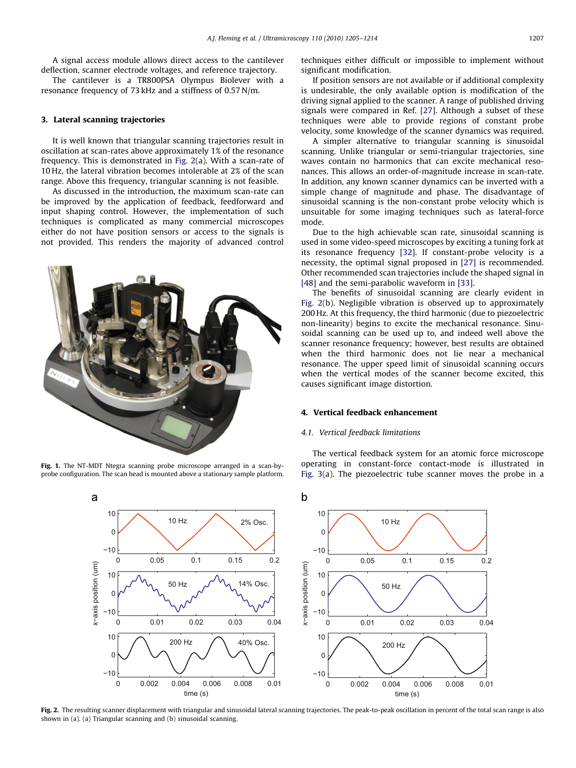<span id="page-2-0"></span>A signal access module allows direct access to the cantilever deflection, scanner electrode voltages, and reference trajectory.

The cantilever is a TR800PSA Olympus Biolever with a resonance frequency of 73 kHz and a stiffness of 0.57 N/m.

#### 3. Lateral scanning trajectories

It is well known that triangular scanning trajectories result in oscillation at scan-rates above approximately 1% of the resonance frequency. This is demonstrated in Fig. 2(a). With a scan-rate of 10 Hz, the lateral vibration becomes intolerable at 2% of the scan range. Above this frequency, triangular scanning is not feasible.

As discussed in the introduction, the maximum scan-rate can be improved by the application of feedback, feedforward and input shaping control. However, the implementation of such techniques is complicated as many commercial microscopes either do not have position sensors or access to the signals is not provided. This renders the majority of advanced control



Fig. 1. The NT-MDT Ntegra scanning probe microscope arranged in a scan-byprobe configuration. The scan head is mounted above a stationary sample platform.

techniques either difficult or impossible to implement without significant modification.

If position sensors are not available or if additional complexity is undesirable, the only available option is modification of the driving signal applied to the scanner. A range of published driving signals were compared in Ref. [\[27\]](#page-8-0). Although a subset of these techniques were able to provide regions of constant probe velocity, some knowledge of the scanner dynamics was required.

A simpler alternative to triangular scanning is sinusoidal scanning. Unlike triangular or semi-triangular trajectories, sine waves contain no harmonics that can excite mechanical resonances. This allows an order-of-magnitude increase in scan-rate. In addition, any known scanner dynamics can be inverted with a simple change of magnitude and phase. The disadvantage of sinusoidal scanning is the non-constant probe velocity which is unsuitable for some imaging techniques such as lateral-force mode.

Due to the high achievable scan rate, sinusoidal scanning is used in some video-speed microscopes by exciting a tuning fork at its resonance frequency [\[32\]](#page-8-0). If constant-probe velocity is a necessity, the optimal signal proposed in [\[27\]](#page-8-0) is recommended. Other recommended scan trajectories include the shaped signal in [\[48\]](#page-9-0) and the semi-parabolic waveform in [\[33\]](#page-8-0).

The benefits of sinusoidal scanning are clearly evident in Fig. 2(b). Negligible vibration is observed up to approximately 200 Hz. At this frequency, the third harmonic (due to piezoelectric non-linearity) begins to excite the mechanical resonance. Sinusoidal scanning can be used up to, and indeed well above the scanner resonance frequency; however, best results are obtained when the third harmonic does not lie near a mechanical resonance. The upper speed limit of sinusoidal scanning occurs when the vertical modes of the scanner become excited, this causes significant image distortion.

### 4. Vertical feedback enhancement

#### 4.1. Vertical feedback limitations

The vertical feedback system for an atomic force microscope operating in constant-force contact-mode is illustrated in [Fig. 3\(](#page-3-0)a). The piezoelectric tube scanner moves the probe in a



Fig. 2. The resulting scanner displacement with triangular and sinusoidal lateral scanning trajectories. The peak-to-peak oscillation in percent of the total scan range is also shown in (a). (a) Triangular scanning and (b) sinusoidal scanning.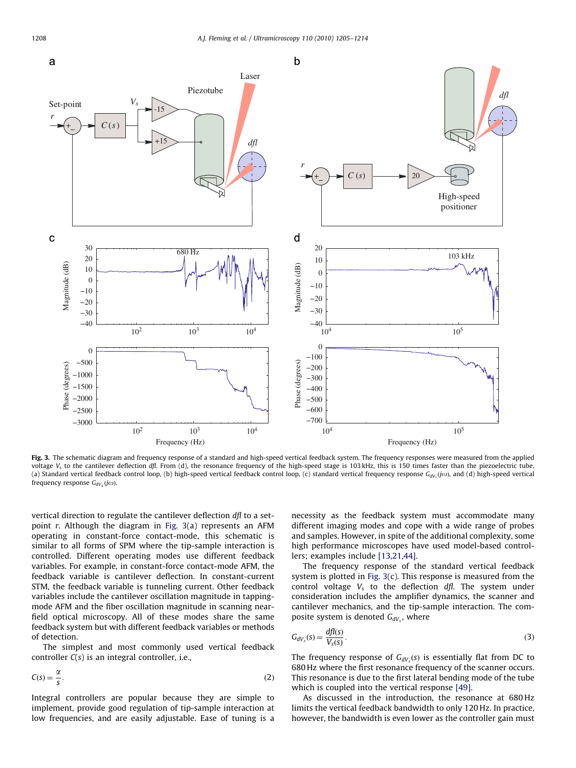<span id="page-3-0"></span>

Fig. 3. The schematic diagram and frequency response of a standard and high-speed vertical feedback system. The frequency responses were measured from the applied voltage  $V_s$  to the cantilever deflection dfl. From (d), the resonance frequency of the high-speed stage is 103 kHz, this is 150 times faster than the piezoelectric tube. (a) Standard vertical feedback control loop, (b) high-speed vertical feedback control loop, (c) standard vertical frequency response  $G_{dV_s}(jo)$ , and (d) high-speed vertical frequency response  $G_{dV_h}(j\omega)$ .

vertical direction to regulate the cantilever deflection dfl to a setpoint  $r$ . Although the diagram in Fig. 3(a) represents an AFM operating in constant-force contact-mode, this schematic is similar to all forms of SPM where the tip-sample interaction is controlled. Different operating modes use different feedback variables. For example, in constant-force contact-mode AFM, the feedback variable is cantilever deflection. In constant-current STM, the feedback variable is tunneling current. Other feedback variables include the cantilever oscillation magnitude in tappingmode AFM and the fiber oscillation magnitude in scanning nearfield optical microscopy. All of these modes share the same feedback system but with different feedback variables or methods of detection.

The simplest and most commonly used vertical feedback controller  $C(s)$  is an integral controller, i.e.,

$$
C(s) = \frac{\alpha}{s}.
$$
 (2)

Integral controllers are popular because they are simple to implement, provide good regulation of tip-sample interaction at low frequencies, and are easily adjustable. Ease of tuning is a necessity as the feedback system must accommodate many different imaging modes and cope with a wide range of probes and samples. However, in spite of the additional complexity, some high performance microscopes have used model-based controllers; examples include [\[13,21,44\]](#page-8-0).

The frequency response of the standard vertical feedback system is plotted in Fig. 3(c). This response is measured from the control voltage  $V_s$  to the deflection  $df$ . The system under consideration includes the amplifier dynamics, the scanner and cantilever mechanics, and the tip-sample interaction. The composite system is denoted  $G_{dV_s}$ , where

$$
G_{dV_s}(s) = \frac{dfI(s)}{V_s(s)}.\tag{3}
$$

The frequency response of  $G_{dV_s}(s)$  is essentially flat from DC to 680 Hz where the first resonance frequency of the scanner occurs. This resonance is due to the first lateral bending mode of the tube which is coupled into the vertical response [\[49\].](#page-9-0)

As discussed in the introduction, the resonance at 680 Hz limits the vertical feedback bandwidth to only 120 Hz. In practice, however, the bandwidth is even lower as the controller gain must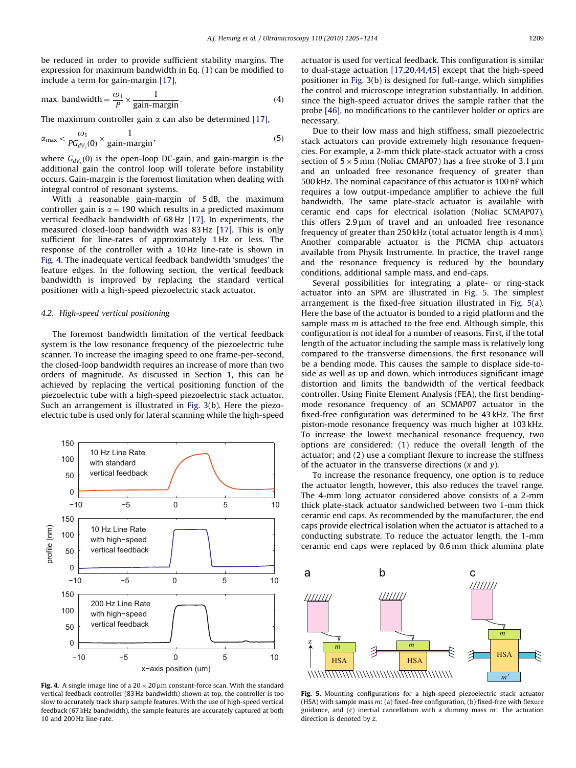<span id="page-4-0"></span>be reduced in order to provide sufficient stability margins. The expression for maximum bandwidth in Eq. (1) can be modified to include a term for gain-margin [\[17\],](#page-8-0)

max. bandwidth = 
$$
\frac{\omega_1}{P} \times \frac{1}{gain\text{-}margin}
$$
. (4)

The maximum controller gain  $\alpha$  can also be determined [\[17\]](#page-8-0),

$$
\alpha_{\text{max}} < \frac{\omega_1}{PG_{dV_s}(0)} \times \frac{1}{gain-margin},\tag{5}
$$

where  $G_{dV_s}(0)$  is the open-loop DC-gain, and gain-margin is the additional gain the control loop will tolerate before instability occurs. Gain-margin is the foremost limitation when dealing with integral control of resonant systems.

With a reasonable gain-margin of 5 dB, the maximum controller gain is  $\alpha = 190$  which results in a predicted maximum vertical feedback bandwidth of 68 Hz [\[17\]](#page-8-0). In experiments, the measured closed-loop bandwidth was 83 Hz [\[17\].](#page-8-0) This is only sufficient for line-rates of approximately 1 Hz or less. The response of the controller with a 10 Hz line-rate is shown in Fig. 4. The inadequate vertical feedback bandwidth 'smudges' the feature edges. In the following section, the vertical feedback bandwidth is improved by replacing the standard vertical positioner with a high-speed piezoelectric stack actuator.

#### 4.2. High-speed vertical positioning

The foremost bandwidth limitation of the vertical feedback system is the low resonance frequency of the piezoelectric tube scanner. To increase the imaging speed to one frame-per-second, the closed-loop bandwidth requires an increase of more than two orders of magnitude. As discussed in Section 1, this can be achieved by replacing the vertical positioning function of the piezoelectric tube with a high-speed piezoelectric stack actuator. Such an arrangement is illustrated in [Fig. 3](#page-3-0)(b). Here the piezoelectric tube is used only for lateral scanning while the high-speed



Fig. 4. A single image line of a  $20 \times 20 \,\mu$ m constant-force scan. With the standard vertical feedback controller (83 Hz bandwidth) shown at top, the controller is too slow to accurately track sharp sample features. With the use of high-speed vertical feedback (67 kHz bandwidth), the sample features are accurately captured at both 10 and 200 Hz line-rate.

actuator is used for vertical feedback. This configuration is similar to dual-stage actuation [\[17,20,44,45\]](#page-8-0) except that the high-speed positioner in [Fig. 3\(](#page-3-0)b) is designed for full-range, which simplifies the control and microscope integration substantially. In addition, since the high-speed actuator drives the sample rather that the probe [\[46\],](#page-8-0) no modifications to the cantilever holder or optics are necessary.

Due to their low mass and high stiffness, small piezoelectric stack actuators can provide extremely high resonance frequencies. For example, a 2-mm thick plate-stack actuator with a cross section of  $5 \times 5$  mm (Noliac CMAP07) has a free stroke of 3.1  $\mu$ m and an unloaded free resonance frequency of greater than 500 kHz. The nominal capacitance of this actuator is 100 nF which requires a low output-impedance amplifier to achieve the full bandwidth. The same plate-stack actuator is available with ceramic end caps for electrical isolation (Noliac SCMAP07), this offers  $2.9 \mu m$  of travel and an unloaded free resonance frequency of greater than 250 kHz (total actuator length is 4 mm). Another comparable actuator is the PICMA chip actuators available from Physik Instrumente. In practice, the travel range and the resonance frequency is reduced by the boundary conditions, additional sample mass, and end-caps.

Several possibilities for integrating a plate- or ring-stack actuator into an SPM are illustrated in Fig. 5. The simplest arrangement is the fixed-free situation illustrated in Fig. 5(a). Here the base of the actuator is bonded to a rigid platform and the sample mass  $m$  is attached to the free end. Although simple, this configuration is not ideal for a number of reasons. First, if the total length of the actuator including the sample mass is relatively long compared to the transverse dimensions, the first resonance will be a bending mode. This causes the sample to displace side-toside as well as up and down, which introduces significant image distortion and limits the bandwidth of the vertical feedback controller. Using Finite Element Analysis (FEA), the first bendingmode resonance frequency of an SCMAP07 actuator in the fixed-free configuration was determined to be 43 kHz. The first piston-mode resonance frequency was much higher at 103 kHz. To increase the lowest mechanical resonance frequency, two options are considered: (1) reduce the overall length of the actuator; and (2) use a compliant flexure to increase the stiffness of the actuator in the transverse directions  $(x \text{ and } y)$ .

To increase the resonance frequency, one option is to reduce the actuator length, however, this also reduces the travel range. The 4-mm long actuator considered above consists of a 2-mm thick plate-stack actuator sandwiched between two 1-mm thick ceramic end caps. As recommended by the manufacturer, the end caps provide electrical isolation when the actuator is attached to a conducting substrate. To reduce the actuator length, the 1-mm ceramic end caps were replaced by 0.6 mm thick alumina plate



Fig. 5. Mounting configurations for a high-speed piezoelectric stack actuator (HSA) with sample mass m: (a) fixed-free configuration, (b) fixed-free with flexure guidance, and  $(c)$  inertial cancellation with a dummy mass  $m'$ . The actuation direction is denoted by z.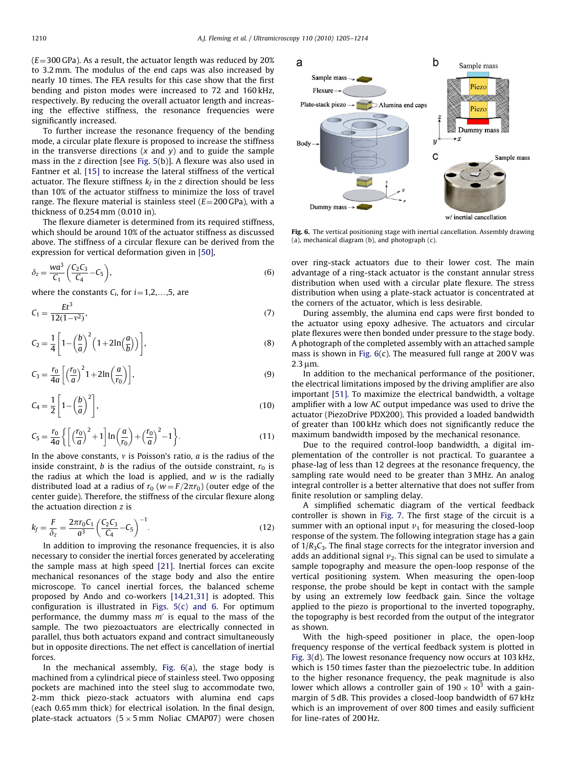$(E=300 GPa)$ . As a result, the actuator length was reduced by 20% to 3.2 mm. The modulus of the end caps was also increased by nearly 10 times. The FEA results for this case show that the first bending and piston modes were increased to 72 and 160 kHz, respectively. By reducing the overall actuator length and increasing the effective stiffness, the resonance frequencies were significantly increased.

To further increase the resonance frequency of the bending mode, a circular plate flexure is proposed to increase the stiffness in the transverse directions  $(x \text{ and } y)$  and to guide the sample mass in the z direction [see [Fig. 5](#page-4-0)(b)]. A flexure was also used in Fantner et al. [\[15\]](#page-8-0) to increase the lateral stiffness of the vertical actuator. The flexure stiffness  $k_f$  in the z direction should be less than 10% of the actuator stiffness to minimize the loss of travel range. The flexure material is stainless steel ( $E = 200$  GPa), with a thickness of 0.254 mm (0.010 in).

The flexure diameter is determined from its required stiffness, which should be around 10% of the actuator stiffness as discussed above. The stiffness of a circular flexure can be derived from the expression for vertical deformation given in [\[50\],](#page-9-0)

$$
\delta_z = \frac{wa^3}{C_1} \left( \frac{C_2 C_3}{C_4} - C_5 \right),\tag{6}
$$

where the constants  $C_i$ , for  $i=1,2,...,5$ , are

$$
C_1 = \frac{Et^3}{12(1 - v^2)},\tag{7}
$$

$$
C_2 = \frac{1}{4} \left[ 1 - \left(\frac{b}{a}\right)^2 \left(1 + 2\ln\left(\frac{a}{b}\right)\right) \right],\tag{8}
$$

$$
C_3 = \frac{r_0}{4a} \left[ \left( \frac{r_0}{a} \right)^2 1 + 2 \ln \left( \frac{a}{r_0} \right) \right],\tag{9}
$$

$$
C_4 = \frac{1}{2} \left[ 1 - \left(\frac{b}{a}\right)^2 \right],\tag{10}
$$

$$
C_5 = \frac{r_0}{4a} \left\{ \left[ \left( \frac{r_0}{a} \right)^2 + 1 \right] \ln \left( \frac{a}{r_0} \right) + \left( \frac{r_0}{a} \right)^2 - 1 \right\}.
$$
 (11)

In the above constants,  $v$  is Poisson's ratio,  $a$  is the radius of the inside constraint, b is the radius of the outside constraint,  $r_0$  is the radius at which the load is applied, and  $w$  is the radially distributed load at a radius of  $r_0$  ( $w = F/2\pi r_0$ ) (outer edge of the center guide). Therefore, the stiffness of the circular flexure along the actuation direction z is

$$
k_f = \frac{F}{\delta_z} = \frac{2\pi r_0 C_1}{a^3} \left(\frac{C_2 C_3}{C_4} - C_5\right)^{-1}.
$$
 (12)

In addition to improving the resonance frequencies, it is also necessary to consider the inertial forces generated by accelerating the sample mass at high speed [\[21\].](#page-8-0) Inertial forces can excite mechanical resonances of the stage body and also the entire microscope. To cancel inertial forces, the balanced scheme proposed by Ando and co-workers [\[14,21,31\]](#page-8-0) is adopted. This configuration is illustrated in Figs.  $5(c)$  and 6. For optimum performance, the dummy mass  $m'$  is equal to the mass of the sample. The two piezoactuators are electrically connected in parallel, thus both actuators expand and contract simultaneously but in opposite directions. The net effect is cancellation of inertial forces.

In the mechanical assembly, Fig. 6(a), the stage body is machined from a cylindrical piece of stainless steel. Two opposing pockets are machined into the steel slug to accommodate two, 2-mm thick piezo-stack actuators with alumina end caps (each 0.65 mm thick) for electrical isolation. In the final design, plate-stack actuators (5  $\times$  5 mm Noliac CMAP07) were chosen



Fig. 6. The vertical positioning stage with inertial cancellation. Assembly drawing (a), mechanical diagram (b), and photograph (c).

over ring-stack actuators due to their lower cost. The main advantage of a ring-stack actuator is the constant annular stress distribution when used with a circular plate flexure. The stress distribution when using a plate-stack actuator is concentrated at the corners of the actuator, which is less desirable.

During assembly, the alumina end caps were first bonded to the actuator using epoxy adhesive. The actuators and circular plate flexures were then bonded under pressure to the stage body. A photograph of the completed assembly with an attached sample mass is shown in Fig. 6(c). The measured full range at 200 V was  $2.3 \text{ nm}$ .

In addition to the mechanical performance of the positioner, the electrical limitations imposed by the driving amplifier are also important [\[51\]](#page-9-0). To maximize the electrical bandwidth, a voltage amplifier with a low AC output impedance was used to drive the actuator (PiezoDrive PDX200). This provided a loaded bandwidth of greater than 100 kHz which does not significantly reduce the maximum bandwidth imposed by the mechanical resonance.

Due to the required control-loop bandwidth, a digital implementation of the controller is not practical. To guarantee a phase-lag of less than 12 degrees at the resonance frequency, the sampling rate would need to be greater than 3 MHz. An analog integral controller is a better alternative that does not suffer from finite resolution or sampling delay.

A simplified schematic diagram of the vertical feedback controller is shown in [Fig. 7.](#page-6-0) The first stage of the circuit is a summer with an optional input  $v_1$  for measuring the closed-loop response of the system. The following integration stage has a gain of  $1/R<sub>3</sub>C<sub>3</sub>$ . The final stage corrects for the integrator inversion and adds an additional signal  $v_2$ . This signal can be used to simulate a sample topography and measure the open-loop response of the vertical positioning system. When measuring the open-loop response, the probe should be kept in contact with the sample by using an extremely low feedback gain. Since the voltage applied to the piezo is proportional to the inverted topography, the topography is best recorded from the output of the integrator as shown.

With the high-speed positioner in place, the open-loop frequency response of the vertical feedback system is plotted in [Fig. 3](#page-3-0)(d). The lowest resonance frequency now occurs at 103 kHz, which is 150 times faster than the piezoelectric tube. In addition to the higher resonance frequency, the peak magnitude is also lower which allows a controller gain of  $190 \times 10^3$  with a gainmargin of 5 dB. This provides a closed-loop bandwidth of 67 kHz which is an improvement of over 800 times and easily sufficient for line-rates of 200 Hz.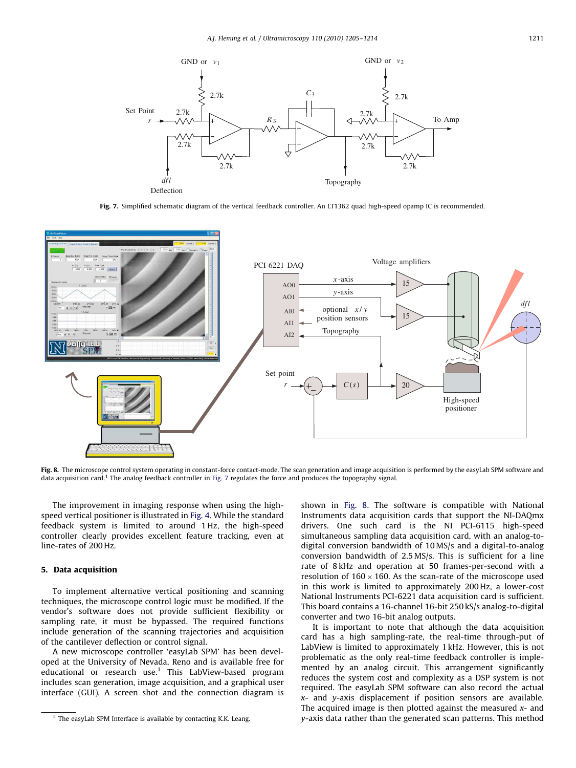<span id="page-6-0"></span>

Fig. 7. Simplified schematic diagram of the vertical feedback controller. An LT1362 quad high-speed opamp IC is recommended.



Fig. 8. The microscope control system operating in constant-force contact-mode. The scan generation and image acquisition is performed by the easyLab SPM software and data acquisition card.<sup>1</sup> The analog feedback controller in Fig. 7 regulates the force and produces the topography signal.

The improvement in imaging response when using the highspeed vertical positioner is illustrated in [Fig. 4.](#page-4-0) While the standard feedback system is limited to around 1 Hz, the high-speed controller clearly provides excellent feature tracking, even at line-rates of 200 Hz.

## 5. Data acquisition

To implement alternative vertical positioning and scanning techniques, the microscope control logic must be modified. If the vendor's software does not provide sufficient flexibility or sampling rate, it must be bypassed. The required functions include generation of the scanning trajectories and acquisition of the cantilever deflection or control signal.

A new microscope controller 'easyLab SPM' has been developed at the University of Nevada, Reno and is available free for educational or research use.<sup>1</sup> This LabView-based program includes scan generation, image acquisition, and a graphical user interface (GUI). A screen shot and the connection diagram is shown in Fig. 8. The software is compatible with National Instruments data acquisition cards that support the NI-DAQmx drivers. One such card is the NI PCI-6115 high-speed simultaneous sampling data acquisition card, with an analog-todigital conversion bandwidth of 10 MS/s and a digital-to-analog conversion bandwidth of 2.5 MS/s. This is sufficient for a line rate of 8 kHz and operation at 50 frames-per-second with a resolution of  $160 \times 160$ . As the scan-rate of the microscope used in this work is limited to approximately 200 Hz, a lower-cost National Instruments PCI-6221 data acquisition card is sufficient. This board contains a 16-channel 16-bit 250 kS/s analog-to-digital converter and two 16-bit analog outputs.

It is important to note that although the data acquisition card has a high sampling-rate, the real-time through-put of LabView is limited to approximately 1 kHz. However, this is not problematic as the only real-time feedback controller is implemented by an analog circuit. This arrangement significantly reduces the system cost and complexity as a DSP system is not required. The easyLab SPM software can also record the actual x- and y-axis displacement if position sensors are available. The acquired image is then plotted against the measured  $x$ - and y-axis data rather than the generated scan patterns. This method

 $1$  The easyLab SPM Interface is available by contacting K.K. Leang.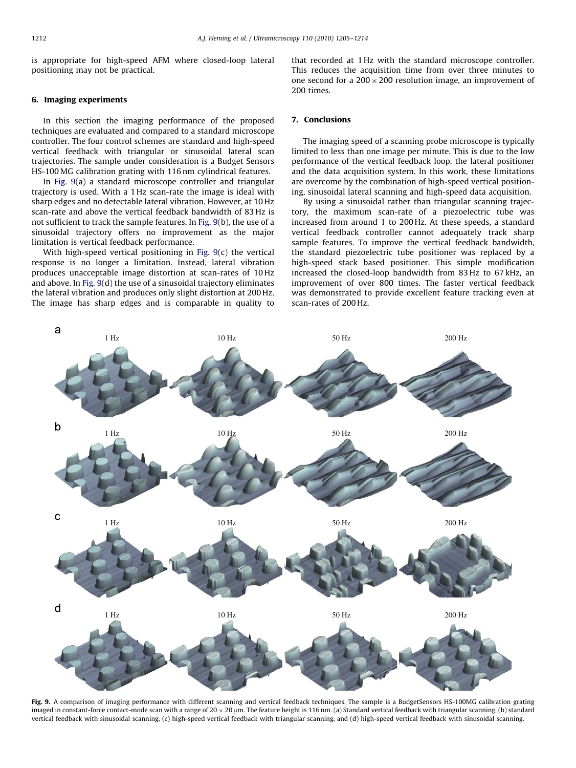is appropriate for high-speed AFM where closed-loop lateral positioning may not be practical.

#### 6. Imaging experiments

In this section the imaging performance of the proposed techniques are evaluated and compared to a standard microscope controller. The four control schemes are standard and high-speed vertical feedback with triangular or sinusoidal lateral scan trajectories. The sample under consideration is a Budget Sensors HS-100 MG calibration grating with 116 nm cylindrical features.

In Fig. 9(a) a standard microscope controller and triangular trajectory is used. With a 1 Hz scan-rate the image is ideal with sharp edges and no detectable lateral vibration. However, at 10 Hz scan-rate and above the vertical feedback bandwidth of 83 Hz is not sufficient to track the sample features. In Fig. 9(b), the use of a sinusoidal trajectory offers no improvement as the major limitation is vertical feedback performance.

With high-speed vertical positioning in Fig. 9(c) the vertical response is no longer a limitation. Instead, lateral vibration produces unacceptable image distortion at scan-rates of 10 Hz and above. In Fig. 9(d) the use of a sinusoidal trajectory eliminates the lateral vibration and produces only slight distortion at 200 Hz. The image has sharp edges and is comparable in quality to that recorded at 1 Hz with the standard microscope controller. This reduces the acquisition time from over three minutes to one second for a 200  $\times$  200 resolution image, an improvement of 200 times.

#### 7. Conclusions

The imaging speed of a scanning probe microscope is typically limited to less than one image per minute. This is due to the low performance of the vertical feedback loop, the lateral positioner and the data acquisition system. In this work, these limitations are overcome by the combination of high-speed vertical positioning, sinusoidal lateral scanning and high-speed data acquisition.

By using a sinusoidal rather than triangular scanning trajectory, the maximum scan-rate of a piezoelectric tube was increased from around 1 to 200 Hz. At these speeds, a standard vertical feedback controller cannot adequately track sharp sample features. To improve the vertical feedback bandwidth, the standard piezoelectric tube positioner was replaced by a high-speed stack based positioner. This simple modification increased the closed-loop bandwidth from 83 Hz to 67 kHz, an improvement of over 800 times. The faster vertical feedback was demonstrated to provide excellent feature tracking even at scan-rates of 200 Hz.



Fig. 9. A comparison of imaging performance with different scanning and vertical feedback techniques. The sample is a BudgetSensors HS-100MG calibration grating imaged in constant-force contact-mode scan with a range of 20  $\times$  20  $\mu$ m. The feature height is 116 nm. (a) Standard vertical feedback with triangular scanning, (b) standard vertical feedback with sinusoidal scanning, (c) high-speed vertical feedback with triangular scanning, and (d) high-speed vertical feedback with sinusoidal scanning.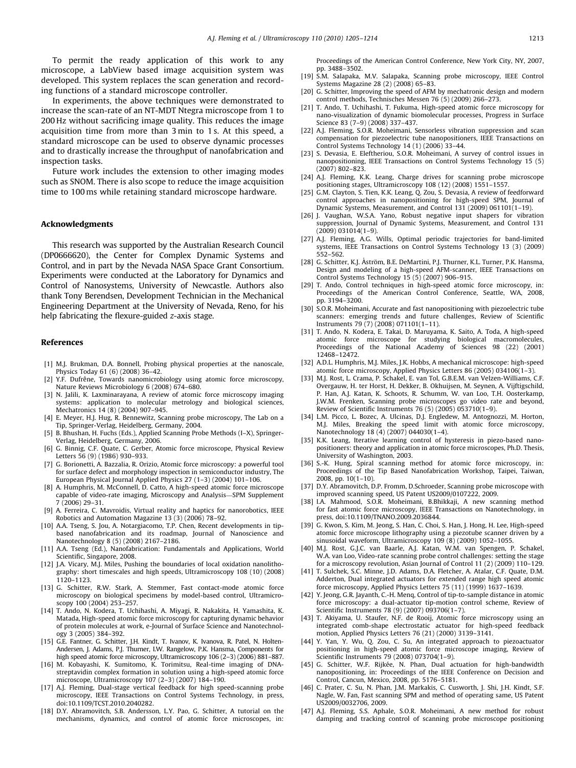<span id="page-8-0"></span>To permit the ready application of this work to any microscope, a LabView based image acquisition system was developed. This system replaces the scan generation and recording functions of a standard microscope controller.

In experiments, the above techniques were demonstrated to increase the scan-rate of an NT-MDT Ntegra microscope from 1 to 200 Hz without sacrificing image quality. This reduces the image acquisition time from more than 3 min to 1 s. At this speed, a standard microscope can be used to observe dynamic processes and to drastically increase the throughput of nanofabrication and inspection tasks.

Future work includes the extension to other imaging modes such as SNOM. There is also scope to reduce the image acquisition time to 100 ms while retaining standard microscope hardware.

#### Acknowledgments

This research was supported by the Australian Research Council (DP0666620), the Center for Complex Dynamic Systems and Control, and in part by the Nevada NASA Space Grant Consortium. Experiments were conducted at the Laboratory for Dynamics and Control of Nanosystems, University of Newcastle. Authors also thank Tony Berendsen, Development Technician in the Mechanical Engineering Department at the University of Nevada, Reno, for his help fabricating the flexure-guided z-axis stage.

#### References

- [1] M.J. Brukman, D.A. Bonnell, Probing physical properties at the nanoscale, Physics Today 61 (6) (2008) 36–42.
- [2] Y.F. Dufrêne, Towards nanomicrobiology using atomic force microscopy, Nature Reviews Microbiology 6 (2008) 674–680.
- [3] N. Jalili, K. Laxminarayana, A review of atomic force microscopy imaging systems: application to molecular metrology and biological sciences, Mechatronics 14 (8) (2004) 907–945.
- [4] E. Meyer, H.J. Hug, R. Bennewitz, Scanning probe microscopy, The Lab on a Tip, Springer-Verlag, Heidelberg, Germany, 2004.
- [5] B. Bhushan, H. Fuchs (Eds.), Applied Scanning Probe Methods (I–X), Springer-Verlag, Heidelberg, Germany, 2006.
- [6] G. Binnig, C.F. Quate, C. Gerber, Atomic force microscope, Physical Review Letters 56 (9) (1986) 930–933.
- [7] G. Borionetti, A. Bazzalia, R. Orizio, Atomic force microscopy: a powerful tool for surface defect and morphology inspection in semiconductor industry, The European Physical Journal Applied Physics 27 (1–3) (2004) 101–106.
- [8] A. Humphris, M. McConnell, D. Catto, A high-speed atomic force microscope capable of video-rate imaging, Microscopy and Analysis—SPM Supplement 7 (2006) 29–31.
- [9] A. Ferreira, C. Mavroidis, Virtual reality and haptics for nanorobotics, IEEE Robotics and Automation Magazine 13 (3) (2006) 78–92. [10] A.A. Tseng, S. Jou, A. Notargiacomo, T.P. Chen, Recent developments in tip-
- based nanofabrication and its roadmap, Journal of Nanoscience and Nanotechnology 8 (5) (2008) 2167–2186.
- [11] A.A. Tseng (Ed.), Nanofabrication: Fundamentals and Applications, World Scientific, Singapore, 2008.
- [12] J.A. Vicary, M.J. Miles, Pushing the boundaries of local oxidation nanolithography: short timescales and high speeds, Ultramicroscopy 108 (10) (2008) 1120–1123.
- [13] G. Schitter, R.W. Stark, A. Stemmer, Fast contact-mode atomic force microscopy on biological specimens by model-based control, Ultramicroscopy 100 (2004) 253–257.
- [14] T. Ando, N. Kodera, T. Uchihashi, A. Miyagi, R. Nakakita, H. Yamashita, K. Matada, High-speed atomic force microscopy for capturing dynamic behavior of protein molecules at work, e-Journal of Surface Science and Nanotechnology 3 (2005) 384–392.
- [15] G.E. Fantner, G. Schitter, J.H. Kindt, T. Ivanov, K. Ivanova, R. Patel, N. Holten-Andersen, J. Adams, P.J. Thurner, I.W. Rangelow, P.K. Hansma, Components for high speed atomic force microscopy, Ultramicroscopy 106 (2–3) (2006) 881–887.
- [16] M. Kobayashi, K. Sumitomo, K. Torimitsu, Real-time imaging of DNAstreptavidin complex formation in solution using a high-speed atomic force microscope, Ultramicroscopy 107 (2–3) (2007) 184–190.
- [17] A.J. Fleming, Dual-stage vertical feedback for high speed-scanning probe microscopy, IEEE Transactions on Control Systems Technology, in press, doi:10.1109/TCST.2010.2040282.
- [18] D.Y. Abramovitch, S.B. Andersson, L.Y. Pao, G. Schitter, A tutorial on the mechanisms, dynamics, and control of atomic force microscopes, in:

Proceedings of the American Control Conference, New York City, NY, 2007, pp. 3488–3502.

- [19] S.M. Salapaka, M.V. Salapaka, Scanning probe microscopy, IEEE Control Systems Magazine 28 (2) (2008) 65–83.
- [20] G. Schitter, Improving the speed of AFM by mechatronic design and modern control methods, Technisches Messen 76 (5) (2009) 266–273.
- [21] T. Ando, T. Uchihashi, T. Fukuma, High-speed atomic force microscopy for nano-visualization of dynamic biomolecular processes, Progress in Surface Science 83 (7–9) (2008) 337–437.
- [22] A.J. Fleming, S.O.R. Moheimani, Sensorless vibration suppression and scan compensation for piezoelectric tube nanopositioners, IEEE Transactions on Control Systems Technology 14 (1) (2006) 33–44.
- [23] S. Devasia, E. Eleftheriou, S.O.R. Moheimani, A survey of control issues in nanopositioning, IEEE Transactions on Control Systems Technology 15 (5) (2007) 802–823.
- [24] A.J. Fleming, K.K. Leang, Charge drives for scanning probe microscope positioning stages, Ultramicroscopy 108 (12) (2008) 1551–1557.
- [25] G.M. Clayton, S. Tien, K.K. Leang, Q. Zou, S. Devasia, A review of feedforward control approaches in nanopositioning for high-speed SPM, Journal of Dynamic Systems, Measurement, and Control 131 (2009) 061101(1–19).
- [26] J. Vaughan, W.S.A. Yano, Robust negative input shapers for vibration suppression, Journal of Dynamic Systems, Measurement, and Control 131 (2009) 031014(1–9).
- [27] A.J. Fleming, A.G. Wills, Optimal periodic trajectories for band-limited systems, IEEE Transactions on Control Systems Technology 13 (3) (2009) 552–562.
- [28] G. Schitter, K.J. Åström, B.E. DeMartini, P.J. Thurner, K.L. Turner, P.K. Hansma, Design and modeling of a high-speed AFM-scanner, IEEE Transactions on Control Systems Technology 15 (5) (2007) 906–915.
- [29] T. Ando, Control techniques in high-speed atomic force microscopy, in: Proceedings of the American Control Conference, Seattle, WA, 2008, pp. 3194–3200.
- [30] S.O.R. Moheimani, Accurate and fast nanopositioning with piezoelectric tube scanners: emerging trends and future challenges, Review of Scientific Instruments 79 (7) (2008) 071101(1–11).
- [31] T. Ando, N. Kodera, E. Takai, D. Maruyama, K. Saito, A. Toda, A high-speed atomic force microscope for studying biological macromolecules, Proceedings of the National Academy of Sciences 98 (22) (2001) 12468–12472.
- [32] A.D.L. Humphris, M.J. Miles, J.K. Hobbs, A mechanical microscope: high-speed atomic force microscopy, Applied Physics Letters 86 (2005) 034106(1–3).
- [33] M.J. Rost, L. Crama, P. Schakel, E. van Tol, G.B.E.M. van Velzen-Williams, C.F. Overgauw, H. ter Horst, H. Dekker, B. Okhuijsen, M. Seynen, A. Vijftigschild, P. Han, A.J. Katan, K. Schoots, R. Schumm, W. van Loo, T.H. Oosterkamp, J.W.M. Frenken, Scanning probe microscopes go video rate and beyond, Review of Scientific Instruments 76 (5) (2005) 053710(1–9).
- [34] L.M. Picco, L. Bozec, A. Ulcinas, D.J. Engledew, M. Antognozzi, M. Horton, M.J. Miles, Breaking the speed limit with atomic force microscopy, Nanotechnology 18 (4) (2007) 044030(1–4).
- [35] K.K. Leang, Iterative learning control of hysteresis in piezo-based nanopositioners: theory and application in atomic force microscopes, Ph.D. Thesis, University of Washington, 2003.
- [36] S.-K. Hung, Spiral scanning method for atomic force microscopy, in: Proceedings of the Tip Based Nanofabrication Workshop, Taipei, Taiwan, 2008, pp. 10(1–10).
- [37] D.Y. Abramovitch, D.P. Fromm, D.Schroeder, Scanning probe microscope with improved scanning speed, US Patent US2009/0107222, 2009.
- [38] I.A. Mahmood, S.O.R. Moheimani, B.Bhikkaji, A new scanning method for fast atomic force microscopy, IEEE Transactions on Nanotechnology, in press, doi:10.1109/TNANO.2009.2036844.
- [39] G. Kwon, S. Kim, M. Jeong, S. Han, C. Choi, S. Han, J. Hong, H. Lee, High-speed atomic force microscope lithography using a piezotube scanner driven by a sinusoidal waveform, Ultramicroscopy 109 (8) (2009) 1052–1055.
- [40] M.J. Rost, G.J.C. van Baarle, A.J. Katan, W.M. van Spengen, P. Schakel, W.A. van Loo, Video-rate scanning probe control challenges: setting the stage for a microscopy revolution, Asian Journal of Control 11 (2) (2009) 110–129.
- [41] T. Sulchek, S.C. Minne, J.D. Adams, D.A. Fletcher, A. Atalar, C.F. Quate, D.M. Adderton, Dual integrated actuators for extended range high speed atomic force microscopy, Applied Physics Letters 75 (11) (1999) 1637–1639.
- [42] Y. Jeong, G.R. Jayanth, C.-H. Menq, Control of tip-to-sample distance in atomic force microscopy: a dual-actuator tip-motion control scheme, Review of Scientific Instruments 78 (9) (2007) 093706(1-7)
- [43] T. Akiyama, U. Staufer, N.F. de Rooij, Atomic force microscopy using an integrated comb-shape electrostatic actuator for high-speed feedback motion, Applied Physics Letters 76 (21) (2000) 3139–3141.
- [44] Y. Yan, Y. Wu, Q. Zou, C. Su, An integrated approach to piezoactuator positioning in high-speed atomic force microscope imaging, Review of Scientific Instruments 79 (2008) 073704(1–9).
- [45] G. Schitter, W.F. Rijkée, N. Phan, Dual actuation for high-bandwidth nanopositioning, in: Proceedings of the IEEE Conference on Decision and Control, Cancun, Mexico, 2008, pp. 5176–5181.
- [46] C. Prater, C. Su, N. Phan, J.M. Markakis, C. Cusworth, J. Shi, J.H. Kindt, S.F. Nagle, W. Fan, Fast scanning SPM and method of operating same, US Patent US2009/0032706, 2009.
- [47] A.J. Fleming, S.S. Aphale, S.O.R. Moheimani, A new method for robust damping and tracking control of scanning probe microscope positioning